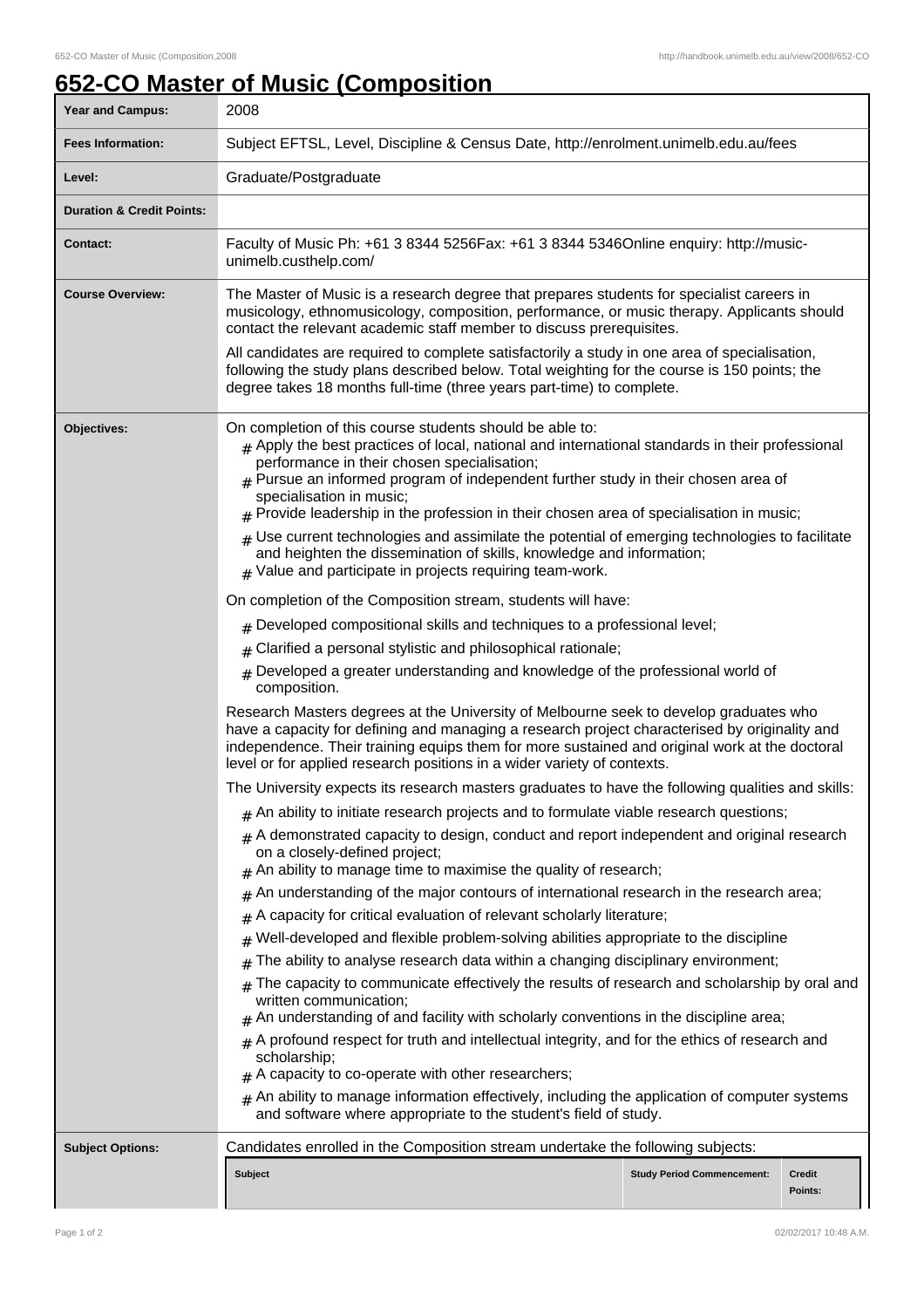ı

## **652-CO Master of Music (Composition**

| Subject EFTSL, Level, Discipline & Census Date, http://enrolment.unimelb.edu.au/fees<br><b>Fees Information:</b><br>Graduate/Postgraduate<br>Level:<br><b>Duration &amp; Credit Points:</b><br>Faculty of Music Ph: +61 3 8344 5256Fax: +61 3 8344 5346Online enquiry: http://music-<br><b>Contact:</b><br>unimelb.custhelp.com/<br>The Master of Music is a research degree that prepares students for specialist careers in<br><b>Course Overview:</b><br>musicology, ethnomusicology, composition, performance, or music therapy. Applicants should<br>contact the relevant academic staff member to discuss prerequisites.<br>All candidates are required to complete satisfactorily a study in one area of specialisation,<br>following the study plans described below. Total weighting for the course is 150 points; the<br>degree takes 18 months full-time (three years part-time) to complete.<br>On completion of this course students should be able to:<br>Objectives:<br>$#$ Apply the best practices of local, national and international standards in their professional<br>performance in their chosen specialisation;<br>$#$ Pursue an informed program of independent further study in their chosen area of<br>specialisation in music;<br>$#$ Provide leadership in the profession in their chosen area of specialisation in music;<br>$#$ Use current technologies and assimilate the potential of emerging technologies to facilitate<br>and heighten the dissemination of skills, knowledge and information;<br>$#$ Value and participate in projects requiring team-work.<br>On completion of the Composition stream, students will have:<br>$#$ Developed compositional skills and techniques to a professional level;<br>Clarified a personal stylistic and philosophical rationale;<br>#<br>Developed a greater understanding and knowledge of the professional world of<br>#<br>composition.<br>Research Masters degrees at the University of Melbourne seek to develop graduates who<br>have a capacity for defining and managing a research project characterised by originality and<br>independence. Their training equips them for more sustained and original work at the doctoral<br>level or for applied research positions in a wider variety of contexts.<br>The University expects its research masters graduates to have the following qualities and skills:<br>$_{\#}$ An ability to initiate research projects and to formulate viable research questions;<br>$*$ A demonstrated capacity to design, conduct and report independent and original research<br>on a closely-defined project;<br>An ability to manage time to maximise the quality of research;<br>#<br>An understanding of the major contours of international research in the research area;<br>#<br>A capacity for critical evaluation of relevant scholarly literature;<br>#<br>Well-developed and flexible problem-solving abilities appropriate to the discipline<br>#<br>The ability to analyse research data within a changing disciplinary environment;<br>#<br>The capacity to communicate effectively the results of research and scholarship by oral and<br>written communication;<br>$#$ An understanding of and facility with scholarly conventions in the discipline area;<br>$#$ A profound respect for truth and intellectual integrity, and for the ethics of research and<br>scholarship;<br>$#$ A capacity to co-operate with other researchers;<br>$#$ An ability to manage information effectively, including the application of computer systems<br>and software where appropriate to the student's field of study.<br>Candidates enrolled in the Composition stream undertake the following subjects:<br><b>Subject Options:</b><br><b>Subject</b><br><b>Study Period Commencement:</b><br>Credit<br>Points: | <b>Year and Campus:</b> | 2008 |  |  |  |
|--------------------------------------------------------------------------------------------------------------------------------------------------------------------------------------------------------------------------------------------------------------------------------------------------------------------------------------------------------------------------------------------------------------------------------------------------------------------------------------------------------------------------------------------------------------------------------------------------------------------------------------------------------------------------------------------------------------------------------------------------------------------------------------------------------------------------------------------------------------------------------------------------------------------------------------------------------------------------------------------------------------------------------------------------------------------------------------------------------------------------------------------------------------------------------------------------------------------------------------------------------------------------------------------------------------------------------------------------------------------------------------------------------------------------------------------------------------------------------------------------------------------------------------------------------------------------------------------------------------------------------------------------------------------------------------------------------------------------------------------------------------------------------------------------------------------------------------------------------------------------------------------------------------------------------------------------------------------------------------------------------------------------------------------------------------------------------------------------------------------------------------------------------------------------------------------------------------------------------------------------------------------------------------------------------------------------------------------------------------------------------------------------------------------------------------------------------------------------------------------------------------------------------------------------------------------------------------------------------------------------------------------------------------------------------------------------------------------------------------------------------------------------------------------------------------------------------------------------------------------------------------------------------------------------------------------------------------------------------------------------------------------------------------------------------------------------------------------------------------------------------------------------------------------------------------------------------------------------------------------------------------------------------------------------------------------------------------------------------------------------------------------------------------------------------------------------------------------------------------------------------------------------------------------------------------------------------------------------------------------------------------------------------------------------------------------------------------------------------------------------------------------------------------------------------------------------------------------|-------------------------|------|--|--|--|
|                                                                                                                                                                                                                                                                                                                                                                                                                                                                                                                                                                                                                                                                                                                                                                                                                                                                                                                                                                                                                                                                                                                                                                                                                                                                                                                                                                                                                                                                                                                                                                                                                                                                                                                                                                                                                                                                                                                                                                                                                                                                                                                                                                                                                                                                                                                                                                                                                                                                                                                                                                                                                                                                                                                                                                                                                                                                                                                                                                                                                                                                                                                                                                                                                                                                                                                                                                                                                                                                                                                                                                                                                                                                                                                                                                                                                                            |                         |      |  |  |  |
|                                                                                                                                                                                                                                                                                                                                                                                                                                                                                                                                                                                                                                                                                                                                                                                                                                                                                                                                                                                                                                                                                                                                                                                                                                                                                                                                                                                                                                                                                                                                                                                                                                                                                                                                                                                                                                                                                                                                                                                                                                                                                                                                                                                                                                                                                                                                                                                                                                                                                                                                                                                                                                                                                                                                                                                                                                                                                                                                                                                                                                                                                                                                                                                                                                                                                                                                                                                                                                                                                                                                                                                                                                                                                                                                                                                                                                            |                         |      |  |  |  |
|                                                                                                                                                                                                                                                                                                                                                                                                                                                                                                                                                                                                                                                                                                                                                                                                                                                                                                                                                                                                                                                                                                                                                                                                                                                                                                                                                                                                                                                                                                                                                                                                                                                                                                                                                                                                                                                                                                                                                                                                                                                                                                                                                                                                                                                                                                                                                                                                                                                                                                                                                                                                                                                                                                                                                                                                                                                                                                                                                                                                                                                                                                                                                                                                                                                                                                                                                                                                                                                                                                                                                                                                                                                                                                                                                                                                                                            |                         |      |  |  |  |
|                                                                                                                                                                                                                                                                                                                                                                                                                                                                                                                                                                                                                                                                                                                                                                                                                                                                                                                                                                                                                                                                                                                                                                                                                                                                                                                                                                                                                                                                                                                                                                                                                                                                                                                                                                                                                                                                                                                                                                                                                                                                                                                                                                                                                                                                                                                                                                                                                                                                                                                                                                                                                                                                                                                                                                                                                                                                                                                                                                                                                                                                                                                                                                                                                                                                                                                                                                                                                                                                                                                                                                                                                                                                                                                                                                                                                                            |                         |      |  |  |  |
|                                                                                                                                                                                                                                                                                                                                                                                                                                                                                                                                                                                                                                                                                                                                                                                                                                                                                                                                                                                                                                                                                                                                                                                                                                                                                                                                                                                                                                                                                                                                                                                                                                                                                                                                                                                                                                                                                                                                                                                                                                                                                                                                                                                                                                                                                                                                                                                                                                                                                                                                                                                                                                                                                                                                                                                                                                                                                                                                                                                                                                                                                                                                                                                                                                                                                                                                                                                                                                                                                                                                                                                                                                                                                                                                                                                                                                            |                         |      |  |  |  |
|                                                                                                                                                                                                                                                                                                                                                                                                                                                                                                                                                                                                                                                                                                                                                                                                                                                                                                                                                                                                                                                                                                                                                                                                                                                                                                                                                                                                                                                                                                                                                                                                                                                                                                                                                                                                                                                                                                                                                                                                                                                                                                                                                                                                                                                                                                                                                                                                                                                                                                                                                                                                                                                                                                                                                                                                                                                                                                                                                                                                                                                                                                                                                                                                                                                                                                                                                                                                                                                                                                                                                                                                                                                                                                                                                                                                                                            |                         |      |  |  |  |
|                                                                                                                                                                                                                                                                                                                                                                                                                                                                                                                                                                                                                                                                                                                                                                                                                                                                                                                                                                                                                                                                                                                                                                                                                                                                                                                                                                                                                                                                                                                                                                                                                                                                                                                                                                                                                                                                                                                                                                                                                                                                                                                                                                                                                                                                                                                                                                                                                                                                                                                                                                                                                                                                                                                                                                                                                                                                                                                                                                                                                                                                                                                                                                                                                                                                                                                                                                                                                                                                                                                                                                                                                                                                                                                                                                                                                                            |                         |      |  |  |  |
|                                                                                                                                                                                                                                                                                                                                                                                                                                                                                                                                                                                                                                                                                                                                                                                                                                                                                                                                                                                                                                                                                                                                                                                                                                                                                                                                                                                                                                                                                                                                                                                                                                                                                                                                                                                                                                                                                                                                                                                                                                                                                                                                                                                                                                                                                                                                                                                                                                                                                                                                                                                                                                                                                                                                                                                                                                                                                                                                                                                                                                                                                                                                                                                                                                                                                                                                                                                                                                                                                                                                                                                                                                                                                                                                                                                                                                            |                         |      |  |  |  |
|                                                                                                                                                                                                                                                                                                                                                                                                                                                                                                                                                                                                                                                                                                                                                                                                                                                                                                                                                                                                                                                                                                                                                                                                                                                                                                                                                                                                                                                                                                                                                                                                                                                                                                                                                                                                                                                                                                                                                                                                                                                                                                                                                                                                                                                                                                                                                                                                                                                                                                                                                                                                                                                                                                                                                                                                                                                                                                                                                                                                                                                                                                                                                                                                                                                                                                                                                                                                                                                                                                                                                                                                                                                                                                                                                                                                                                            |                         |      |  |  |  |
|                                                                                                                                                                                                                                                                                                                                                                                                                                                                                                                                                                                                                                                                                                                                                                                                                                                                                                                                                                                                                                                                                                                                                                                                                                                                                                                                                                                                                                                                                                                                                                                                                                                                                                                                                                                                                                                                                                                                                                                                                                                                                                                                                                                                                                                                                                                                                                                                                                                                                                                                                                                                                                                                                                                                                                                                                                                                                                                                                                                                                                                                                                                                                                                                                                                                                                                                                                                                                                                                                                                                                                                                                                                                                                                                                                                                                                            |                         |      |  |  |  |
|                                                                                                                                                                                                                                                                                                                                                                                                                                                                                                                                                                                                                                                                                                                                                                                                                                                                                                                                                                                                                                                                                                                                                                                                                                                                                                                                                                                                                                                                                                                                                                                                                                                                                                                                                                                                                                                                                                                                                                                                                                                                                                                                                                                                                                                                                                                                                                                                                                                                                                                                                                                                                                                                                                                                                                                                                                                                                                                                                                                                                                                                                                                                                                                                                                                                                                                                                                                                                                                                                                                                                                                                                                                                                                                                                                                                                                            |                         |      |  |  |  |
|                                                                                                                                                                                                                                                                                                                                                                                                                                                                                                                                                                                                                                                                                                                                                                                                                                                                                                                                                                                                                                                                                                                                                                                                                                                                                                                                                                                                                                                                                                                                                                                                                                                                                                                                                                                                                                                                                                                                                                                                                                                                                                                                                                                                                                                                                                                                                                                                                                                                                                                                                                                                                                                                                                                                                                                                                                                                                                                                                                                                                                                                                                                                                                                                                                                                                                                                                                                                                                                                                                                                                                                                                                                                                                                                                                                                                                            |                         |      |  |  |  |
|                                                                                                                                                                                                                                                                                                                                                                                                                                                                                                                                                                                                                                                                                                                                                                                                                                                                                                                                                                                                                                                                                                                                                                                                                                                                                                                                                                                                                                                                                                                                                                                                                                                                                                                                                                                                                                                                                                                                                                                                                                                                                                                                                                                                                                                                                                                                                                                                                                                                                                                                                                                                                                                                                                                                                                                                                                                                                                                                                                                                                                                                                                                                                                                                                                                                                                                                                                                                                                                                                                                                                                                                                                                                                                                                                                                                                                            |                         |      |  |  |  |
|                                                                                                                                                                                                                                                                                                                                                                                                                                                                                                                                                                                                                                                                                                                                                                                                                                                                                                                                                                                                                                                                                                                                                                                                                                                                                                                                                                                                                                                                                                                                                                                                                                                                                                                                                                                                                                                                                                                                                                                                                                                                                                                                                                                                                                                                                                                                                                                                                                                                                                                                                                                                                                                                                                                                                                                                                                                                                                                                                                                                                                                                                                                                                                                                                                                                                                                                                                                                                                                                                                                                                                                                                                                                                                                                                                                                                                            |                         |      |  |  |  |
|                                                                                                                                                                                                                                                                                                                                                                                                                                                                                                                                                                                                                                                                                                                                                                                                                                                                                                                                                                                                                                                                                                                                                                                                                                                                                                                                                                                                                                                                                                                                                                                                                                                                                                                                                                                                                                                                                                                                                                                                                                                                                                                                                                                                                                                                                                                                                                                                                                                                                                                                                                                                                                                                                                                                                                                                                                                                                                                                                                                                                                                                                                                                                                                                                                                                                                                                                                                                                                                                                                                                                                                                                                                                                                                                                                                                                                            |                         |      |  |  |  |
|                                                                                                                                                                                                                                                                                                                                                                                                                                                                                                                                                                                                                                                                                                                                                                                                                                                                                                                                                                                                                                                                                                                                                                                                                                                                                                                                                                                                                                                                                                                                                                                                                                                                                                                                                                                                                                                                                                                                                                                                                                                                                                                                                                                                                                                                                                                                                                                                                                                                                                                                                                                                                                                                                                                                                                                                                                                                                                                                                                                                                                                                                                                                                                                                                                                                                                                                                                                                                                                                                                                                                                                                                                                                                                                                                                                                                                            |                         |      |  |  |  |
|                                                                                                                                                                                                                                                                                                                                                                                                                                                                                                                                                                                                                                                                                                                                                                                                                                                                                                                                                                                                                                                                                                                                                                                                                                                                                                                                                                                                                                                                                                                                                                                                                                                                                                                                                                                                                                                                                                                                                                                                                                                                                                                                                                                                                                                                                                                                                                                                                                                                                                                                                                                                                                                                                                                                                                                                                                                                                                                                                                                                                                                                                                                                                                                                                                                                                                                                                                                                                                                                                                                                                                                                                                                                                                                                                                                                                                            |                         |      |  |  |  |
|                                                                                                                                                                                                                                                                                                                                                                                                                                                                                                                                                                                                                                                                                                                                                                                                                                                                                                                                                                                                                                                                                                                                                                                                                                                                                                                                                                                                                                                                                                                                                                                                                                                                                                                                                                                                                                                                                                                                                                                                                                                                                                                                                                                                                                                                                                                                                                                                                                                                                                                                                                                                                                                                                                                                                                                                                                                                                                                                                                                                                                                                                                                                                                                                                                                                                                                                                                                                                                                                                                                                                                                                                                                                                                                                                                                                                                            |                         |      |  |  |  |
|                                                                                                                                                                                                                                                                                                                                                                                                                                                                                                                                                                                                                                                                                                                                                                                                                                                                                                                                                                                                                                                                                                                                                                                                                                                                                                                                                                                                                                                                                                                                                                                                                                                                                                                                                                                                                                                                                                                                                                                                                                                                                                                                                                                                                                                                                                                                                                                                                                                                                                                                                                                                                                                                                                                                                                                                                                                                                                                                                                                                                                                                                                                                                                                                                                                                                                                                                                                                                                                                                                                                                                                                                                                                                                                                                                                                                                            |                         |      |  |  |  |
|                                                                                                                                                                                                                                                                                                                                                                                                                                                                                                                                                                                                                                                                                                                                                                                                                                                                                                                                                                                                                                                                                                                                                                                                                                                                                                                                                                                                                                                                                                                                                                                                                                                                                                                                                                                                                                                                                                                                                                                                                                                                                                                                                                                                                                                                                                                                                                                                                                                                                                                                                                                                                                                                                                                                                                                                                                                                                                                                                                                                                                                                                                                                                                                                                                                                                                                                                                                                                                                                                                                                                                                                                                                                                                                                                                                                                                            |                         |      |  |  |  |
|                                                                                                                                                                                                                                                                                                                                                                                                                                                                                                                                                                                                                                                                                                                                                                                                                                                                                                                                                                                                                                                                                                                                                                                                                                                                                                                                                                                                                                                                                                                                                                                                                                                                                                                                                                                                                                                                                                                                                                                                                                                                                                                                                                                                                                                                                                                                                                                                                                                                                                                                                                                                                                                                                                                                                                                                                                                                                                                                                                                                                                                                                                                                                                                                                                                                                                                                                                                                                                                                                                                                                                                                                                                                                                                                                                                                                                            |                         |      |  |  |  |
|                                                                                                                                                                                                                                                                                                                                                                                                                                                                                                                                                                                                                                                                                                                                                                                                                                                                                                                                                                                                                                                                                                                                                                                                                                                                                                                                                                                                                                                                                                                                                                                                                                                                                                                                                                                                                                                                                                                                                                                                                                                                                                                                                                                                                                                                                                                                                                                                                                                                                                                                                                                                                                                                                                                                                                                                                                                                                                                                                                                                                                                                                                                                                                                                                                                                                                                                                                                                                                                                                                                                                                                                                                                                                                                                                                                                                                            |                         |      |  |  |  |
|                                                                                                                                                                                                                                                                                                                                                                                                                                                                                                                                                                                                                                                                                                                                                                                                                                                                                                                                                                                                                                                                                                                                                                                                                                                                                                                                                                                                                                                                                                                                                                                                                                                                                                                                                                                                                                                                                                                                                                                                                                                                                                                                                                                                                                                                                                                                                                                                                                                                                                                                                                                                                                                                                                                                                                                                                                                                                                                                                                                                                                                                                                                                                                                                                                                                                                                                                                                                                                                                                                                                                                                                                                                                                                                                                                                                                                            |                         |      |  |  |  |
|                                                                                                                                                                                                                                                                                                                                                                                                                                                                                                                                                                                                                                                                                                                                                                                                                                                                                                                                                                                                                                                                                                                                                                                                                                                                                                                                                                                                                                                                                                                                                                                                                                                                                                                                                                                                                                                                                                                                                                                                                                                                                                                                                                                                                                                                                                                                                                                                                                                                                                                                                                                                                                                                                                                                                                                                                                                                                                                                                                                                                                                                                                                                                                                                                                                                                                                                                                                                                                                                                                                                                                                                                                                                                                                                                                                                                                            |                         |      |  |  |  |
|                                                                                                                                                                                                                                                                                                                                                                                                                                                                                                                                                                                                                                                                                                                                                                                                                                                                                                                                                                                                                                                                                                                                                                                                                                                                                                                                                                                                                                                                                                                                                                                                                                                                                                                                                                                                                                                                                                                                                                                                                                                                                                                                                                                                                                                                                                                                                                                                                                                                                                                                                                                                                                                                                                                                                                                                                                                                                                                                                                                                                                                                                                                                                                                                                                                                                                                                                                                                                                                                                                                                                                                                                                                                                                                                                                                                                                            |                         |      |  |  |  |